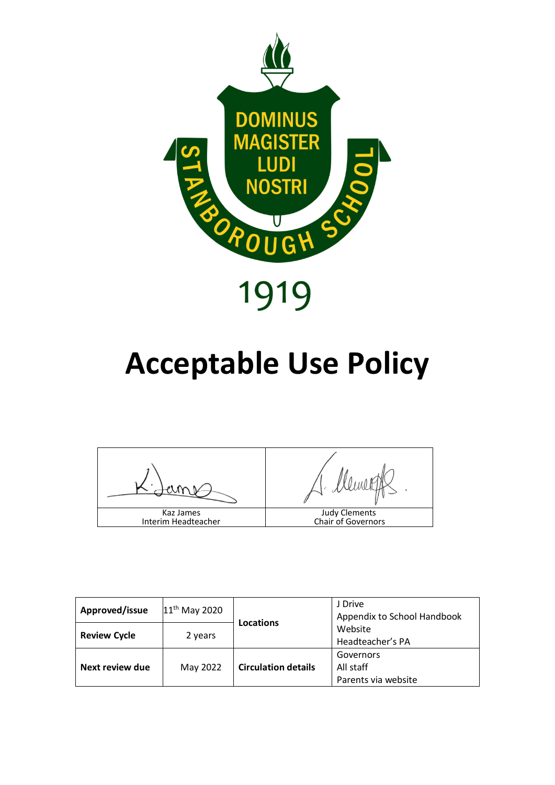

# **Acceptable Use Policy**

Hemet Judy Clements Kaz James Chair of GovernorsInterim Headteacher

| Approved/issue      | 11 <sup>th</sup> May 2020 |                            | J Drive<br>Appendix to School Handbook        |
|---------------------|---------------------------|----------------------------|-----------------------------------------------|
| <b>Review Cycle</b> | 2 years                   | <b>Locations</b>           | Website<br>Headteacher's PA                   |
| Next review due     | May 2022                  | <b>Circulation details</b> | Governors<br>All staff<br>Parents via website |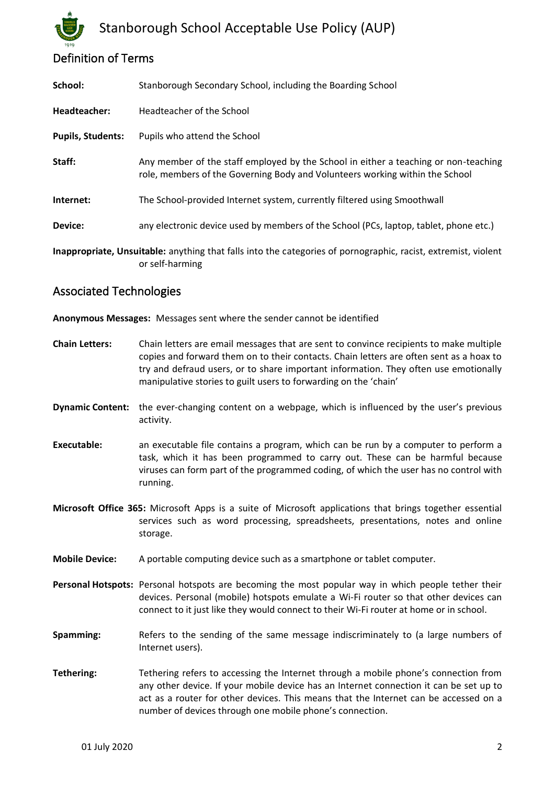# Definition of Terms

| School:                                                                                                                           | Stanborough Secondary School, including the Boarding School                                                                                                         |  |  |
|-----------------------------------------------------------------------------------------------------------------------------------|---------------------------------------------------------------------------------------------------------------------------------------------------------------------|--|--|
| Headteacher:                                                                                                                      | Headteacher of the School                                                                                                                                           |  |  |
| <b>Pupils, Students:</b>                                                                                                          | Pupils who attend the School                                                                                                                                        |  |  |
| Staff:                                                                                                                            | Any member of the staff employed by the School in either a teaching or non-teaching<br>role, members of the Governing Body and Volunteers working within the School |  |  |
| Internet:                                                                                                                         | The School-provided Internet system, currently filtered using Smoothwall                                                                                            |  |  |
| Device:                                                                                                                           | any electronic device used by members of the School (PCs, laptop, tablet, phone etc.)                                                                               |  |  |
| Inappropriate, Unsuitable: anything that falls into the categories of pornographic, racist, extremist, violent<br>or self-harming |                                                                                                                                                                     |  |  |

#### Associated Technologies

**Anonymous Messages:** Messages sent where the sender cannot be identified

- **Chain Letters:** Chain letters are email messages that are sent to convince recipients to make multiple copies and forward them on to their contacts. Chain letters are often sent as a hoax to try and defraud users, or to share important information. They often use emotionally manipulative stories to guilt users to forwarding on the 'chain'
- **Dynamic Content:** the ever-changing content on a webpage, which is influenced by the user's previous activity.
- **Executable:** an executable file contains a program, which can be run by a computer to perform a task, which it has been programmed to carry out. These can be harmful because viruses can form part of the programmed coding, of which the user has no control with running.
- **Microsoft Office 365:** Microsoft Apps is a suite of Microsoft applications that brings together essential services such as word processing, spreadsheets, presentations, notes and online storage.
- **Mobile Device:** A portable computing device such as a smartphone or tablet computer.
- **Personal Hotspots:** Personal hotspots are becoming the most popular way in which people tether their devices. Personal (mobile) hotspots emulate a Wi-Fi router so that other devices can connect to it just like they would connect to their Wi-Fi router at home or in school.
- **Spamming:** Refers to the sending of the same message indiscriminately to (a large numbers of Internet users).
- **Tethering:** Tethering refers to accessing the Internet through a mobile phone's connection from any other device. If your mobile device has an Internet connection it can be set up to act as a router for other devices. This means that the Internet can be accessed on a number of devices through one mobile phone's connection.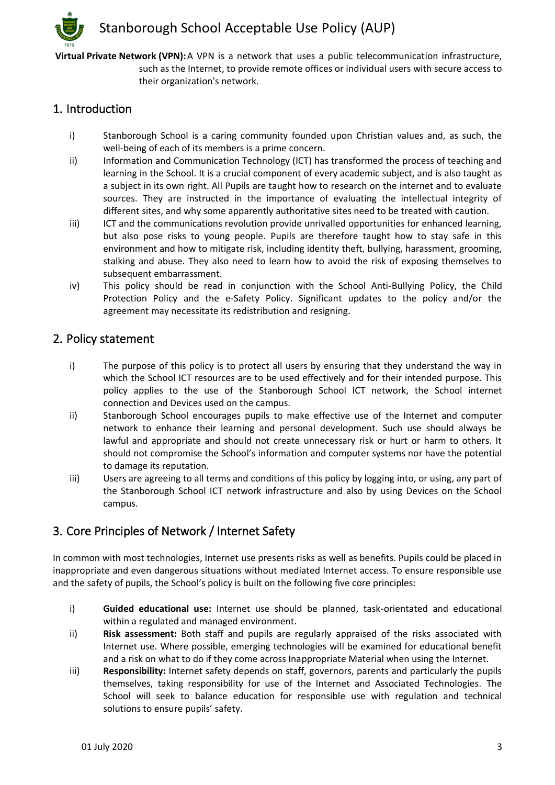**Virtual Private Network (VPN):**A VPN is a network that uses a public telecommunication infrastructure, such as the Internet, to provide remote offices or individual users with secure access to their organization's network.

#### 1. Introduction

- i) Stanborough School is a caring community founded upon Christian values and, as such, the well-being of each of its members is a prime concern.
- ii) Information and Communication Technology (ICT) has transformed the process of teaching and learning in the School. It is a crucial component of every academic subject, and is also taught as a subject in its own right. All Pupils are taught how to research on the internet and to evaluate sources. They are instructed in the importance of evaluating the intellectual integrity of different sites, and why some apparently authoritative sites need to be treated with caution.
- iii) ICT and the communications revolution provide unrivalled opportunities for enhanced learning, but also pose risks to young people. Pupils are therefore taught how to stay safe in this environment and how to mitigate risk, including identity theft, bullying, harassment, grooming, stalking and abuse. They also need to learn how to avoid the risk of exposing themselves to subsequent embarrassment.
- iv) This policy should be read in conjunction with the School Anti-Bullying Policy, the Child Protection Policy and the e-Safety Policy. Significant updates to the policy and/or the agreement may necessitate its redistribution and resigning.

#### 2. Policy statement

- i) The purpose of this policy is to protect all users by ensuring that they understand the way in which the School ICT resources are to be used effectively and for their intended purpose. This policy applies to the use of the Stanborough School ICT network, the School internet connection and Devices used on the campus.
- ii) Stanborough School encourages pupils to make effective use of the Internet and computer network to enhance their learning and personal development. Such use should always be lawful and appropriate and should not create unnecessary risk or hurt or harm to others. It should not compromise the School's information and computer systems nor have the potential to damage its reputation.
- iii) Users are agreeing to all terms and conditions of this policy by logging into, or using, any part of the Stanborough School ICT network infrastructure and also by using Devices on the School campus.

# 3. Core Principles of Network / Internet Safety

In common with most technologies, Internet use presents risks as well as benefits. Pupils could be placed in inappropriate and even dangerous situations without mediated Internet access. To ensure responsible use and the safety of pupils, the School's policy is built on the following five core principles:

- i) **Guided educational use:** Internet use should be planned, task-orientated and educational within a regulated and managed environment.
- ii) **Risk assessment:** Both staff and pupils are regularly appraised of the risks associated with Internet use. Where possible, emerging technologies will be examined for educational benefit and a risk on what to do if they come across Inappropriate Material when using the Internet.
- iii) **Responsibility:** Internet safety depends on staff, governors, parents and particularly the pupils themselves, taking responsibility for use of the Internet and Associated Technologies. The School will seek to balance education for responsible use with regulation and technical solutions to ensure pupils' safety.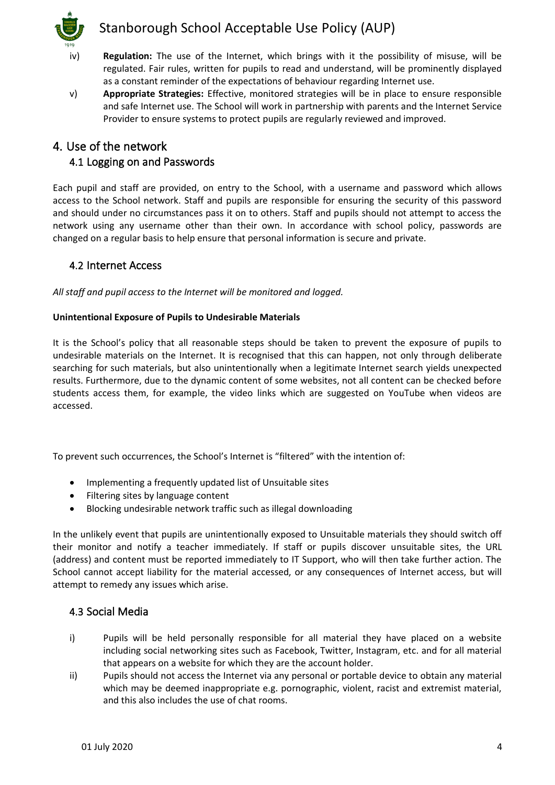

- iv) **Regulation:** The use of the Internet, which brings with it the possibility of misuse, will be regulated. Fair rules, written for pupils to read and understand, will be prominently displayed as a constant reminder of the expectations of behaviour regarding Internet use.
- v) **Appropriate Strategies:** Effective, monitored strategies will be in place to ensure responsible and safe Internet use. The School will work in partnership with parents and the Internet Service Provider to ensure systems to protect pupils are regularly reviewed and improved.

#### 4. Use of the network 4.1 Logging on and Passwords

Each pupil and staff are provided, on entry to the School, with a username and password which allows access to the School network. Staff and pupils are responsible for ensuring the security of this password and should under no circumstances pass it on to others. Staff and pupils should not attempt to access the network using any username other than their own. In accordance with school policy, passwords are changed on a regular basis to help ensure that personal information is secure and private.

#### 4.2 Internet Access

*All staff and pupil access to the Internet will be monitored and logged.*

#### **Unintentional Exposure of Pupils to Undesirable Materials**

It is the School's policy that all reasonable steps should be taken to prevent the exposure of pupils to undesirable materials on the Internet. It is recognised that this can happen, not only through deliberate searching for such materials, but also unintentionally when a legitimate Internet search yields unexpected results. Furthermore, due to the dynamic content of some websites, not all content can be checked before students access them, for example, the video links which are suggested on YouTube when videos are accessed.

To prevent such occurrences, the School's Internet is "filtered" with the intention of:

- Implementing a frequently updated list of Unsuitable sites
- Filtering sites by language content
- Blocking undesirable network traffic such as illegal downloading

In the unlikely event that pupils are unintentionally exposed to Unsuitable materials they should switch off their monitor and notify a teacher immediately. If staff or pupils discover unsuitable sites, the URL (address) and content must be reported immediately to IT Support, who will then take further action. The School cannot accept liability for the material accessed, or any consequences of Internet access, but will attempt to remedy any issues which arise.

#### 4.3 Social Media

- i) Pupils will be held personally responsible for all material they have placed on a website including social networking sites such as Facebook, Twitter, Instagram, etc. and for all material that appears on a website for which they are the account holder.
- ii) Pupils should not access the Internet via any personal or portable device to obtain any material which may be deemed inappropriate e.g. pornographic, violent, racist and extremist material, and this also includes the use of chat rooms.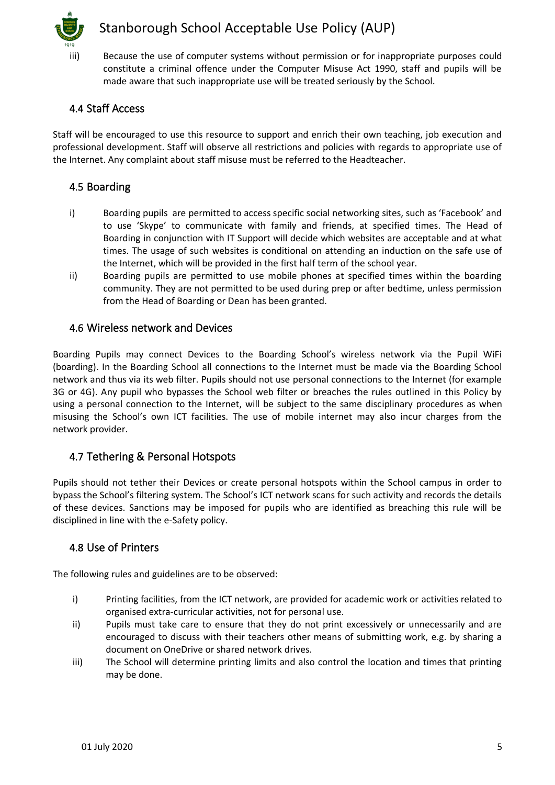

iii) Because the use of computer systems without permission or for inappropriate purposes could constitute a criminal offence under the Computer Misuse Act 1990, staff and pupils will be made aware that such inappropriate use will be treated seriously by the School.

#### 4.4 Staff Access

Staff will be encouraged to use this resource to support and enrich their own teaching, job execution and professional development. Staff will observe all restrictions and policies with regards to appropriate use of the Internet. Any complaint about staff misuse must be referred to the Headteacher.

#### 4.5 Boarding

- i) Boarding pupils are permitted to access specific social networking sites, such as 'Facebook' and to use 'Skype' to communicate with family and friends, at specified times. The Head of Boarding in conjunction with IT Support will decide which websites are acceptable and at what times. The usage of such websites is conditional on attending an induction on the safe use of the Internet, which will be provided in the first half term of the school year.
- ii) Boarding pupils are permitted to use mobile phones at specified times within the boarding community. They are not permitted to be used during prep or after bedtime, unless permission from the Head of Boarding or Dean has been granted.

#### 4.6 Wireless network and Devices

Boarding Pupils may connect Devices to the Boarding School's wireless network via the Pupil WiFi (boarding). In the Boarding School all connections to the Internet must be made via the Boarding School network and thus via its web filter. Pupils should not use personal connections to the Internet (for example 3G or 4G). Any pupil who bypasses the School web filter or breaches the rules outlined in this Policy by using a personal connection to the Internet, will be subject to the same disciplinary procedures as when misusing the School's own ICT facilities. The use of mobile internet may also incur charges from the network provider.

#### 4.7 Tethering & Personal Hotspots

Pupils should not tether their Devices or create personal hotspots within the School campus in order to bypass the School's filtering system. The School's ICT network scans for such activity and records the details of these devices. Sanctions may be imposed for pupils who are identified as breaching this rule will be disciplined in line with the e-Safety policy.

#### 4.8 Use of Printers

The following rules and guidelines are to be observed:

- i) Printing facilities, from the ICT network, are provided for academic work or activities related to organised extra-curricular activities, not for personal use.
- ii) Pupils must take care to ensure that they do not print excessively or unnecessarily and are encouraged to discuss with their teachers other means of submitting work, e.g. by sharing a document on OneDrive or shared network drives.
- iii) The School will determine printing limits and also control the location and times that printing may be done.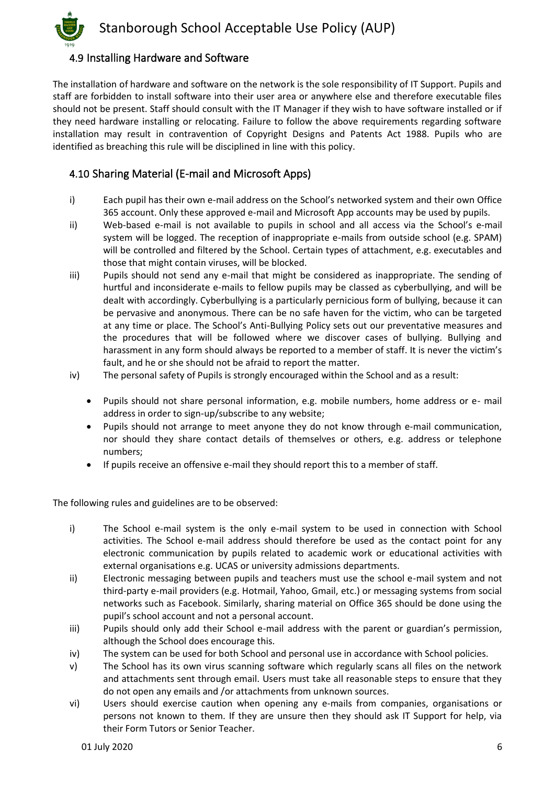

#### 4.9 Installing Hardware and Software

The installation of hardware and software on the network is the sole responsibility of IT Support. Pupils and staff are forbidden to install software into their user area or anywhere else and therefore executable files should not be present. Staff should consult with the IT Manager if they wish to have software installed or if they need hardware installing or relocating. Failure to follow the above requirements regarding software installation may result in contravention of Copyright Designs and Patents Act 1988. Pupils who are identified as breaching this rule will be disciplined in line with this policy.

#### 4.10 Sharing Material (E-mail and Microsoft Apps)

- i) Each pupil has their own e-mail address on the School's networked system and their own Office 365 account. Only these approved e-mail and Microsoft App accounts may be used by pupils.
- ii) Web-based e-mail is not available to pupils in school and all access via the School's e-mail system will be logged. The reception of inappropriate e-mails from outside school (e.g. SPAM) will be controlled and filtered by the School. Certain types of attachment, e.g. executables and those that might contain viruses, will be blocked.
- iii) Pupils should not send any e-mail that might be considered as inappropriate. The sending of hurtful and inconsiderate e-mails to fellow pupils may be classed as cyberbullying, and will be dealt with accordingly. Cyberbullying is a particularly pernicious form of bullying, because it can be pervasive and anonymous. There can be no safe haven for the victim, who can be targeted at any time or place. The School's Anti-Bullying Policy sets out our preventative measures and the procedures that will be followed where we discover cases of bullying. Bullying and harassment in any form should always be reported to a member of staff. It is never the victim's fault, and he or she should not be afraid to report the matter.
- iv) The personal safety of Pupils is strongly encouraged within the School and as a result:
	- Pupils should not share personal information, e.g. mobile numbers, home address or e- mail address in order to sign-up/subscribe to any website;
	- Pupils should not arrange to meet anyone they do not know through e-mail communication, nor should they share contact details of themselves or others, e.g. address or telephone numbers;
	- If pupils receive an offensive e-mail they should report this to a member of staff.

The following rules and guidelines are to be observed:

- i) The School e-mail system is the only e-mail system to be used in connection with School activities. The School e-mail address should therefore be used as the contact point for any electronic communication by pupils related to academic work or educational activities with external organisations e.g. UCAS or university admissions departments.
- ii) Electronic messaging between pupils and teachers must use the school e-mail system and not third-party e-mail providers (e.g. Hotmail, Yahoo, Gmail, etc.) or messaging systems from social networks such as Facebook. Similarly, sharing material on Office 365 should be done using the pupil's school account and not a personal account.
- iii) Pupils should only add their School e-mail address with the parent or guardian's permission, although the School does encourage this.
- iv) The system can be used for both School and personal use in accordance with School policies.
- v) The School has its own virus scanning software which regularly scans all files on the network and attachments sent through email. Users must take all reasonable steps to ensure that they do not open any emails and /or attachments from unknown sources.
- vi) Users should exercise caution when opening any e-mails from companies, organisations or persons not known to them. If they are unsure then they should ask IT Support for help, via their Form Tutors or Senior Teacher.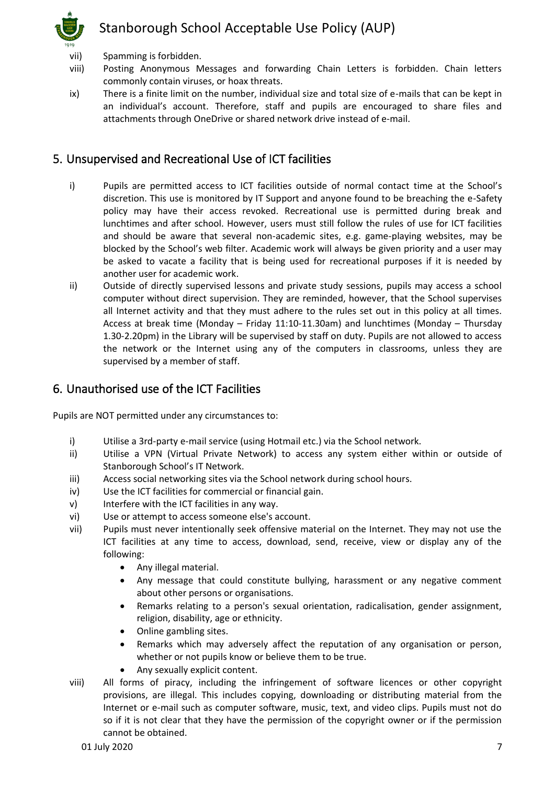

- vii) Spamming is forbidden.
- viii) Posting Anonymous Messages and forwarding Chain Letters is forbidden. Chain letters commonly contain viruses, or hoax threats.
- ix) There is a finite limit on the number, individual size and total size of e-mails that can be kept in an individual's account. Therefore, staff and pupils are encouraged to share files and attachments through OneDrive or shared network drive instead of e-mail.

## 5. Unsupervised and Recreational Use of ICT facilities

- i) Pupils are permitted access to ICT facilities outside of normal contact time at the School's discretion. This use is monitored by IT Support and anyone found to be breaching the e-Safety policy may have their access revoked. Recreational use is permitted during break and lunchtimes and after school. However, users must still follow the rules of use for ICT facilities and should be aware that several non-academic sites, e.g. game-playing websites, may be blocked by the School's web filter. Academic work will always be given priority and a user may be asked to vacate a facility that is being used for recreational purposes if it is needed by another user for academic work.
- ii) Outside of directly supervised lessons and private study sessions, pupils may access a school computer without direct supervision. They are reminded, however, that the School supervises all Internet activity and that they must adhere to the rules set out in this policy at all times. Access at break time (Monday – Friday 11:10-11.30am) and lunchtimes (Monday – Thursday 1.30-2.20pm) in the Library will be supervised by staff on duty. Pupils are not allowed to access the network or the Internet using any of the computers in classrooms, unless they are supervised by a member of staff.

## 6. Unauthorised use of the ICT Facilities

Pupils are NOT permitted under any circumstances to:

- i) Utilise a 3rd-party e-mail service (using Hotmail etc.) via the School network.
- ii) Utilise a VPN (Virtual Private Network) to access any system either within or outside of Stanborough School's IT Network.
- iii) Access social networking sites via the School network during school hours.
- iv) Use the ICT facilities for commercial or financial gain.
- v) Interfere with the ICT facilities in any way.
- vi) Use or attempt to access someone else's account.
- vii) Pupils must never intentionally seek offensive material on the Internet. They may not use the ICT facilities at any time to access, download, send, receive, view or display any of the following:
	- Any illegal material.
	- Any message that could constitute bullying, harassment or any negative comment about other persons or organisations.
	- Remarks relating to a person's sexual orientation, radicalisation, gender assignment, religion, disability, age or ethnicity.
	- Online gambling sites.
	- Remarks which may adversely affect the reputation of any organisation or person, whether or not pupils know or believe them to be true.
	- Any sexually explicit content.
- viii) All forms of piracy, including the infringement of software licences or other copyright provisions, are illegal. This includes copying, downloading or distributing material from the Internet or e-mail such as computer software, music, text, and video clips. Pupils must not do so if it is not clear that they have the permission of the copyright owner or if the permission cannot be obtained.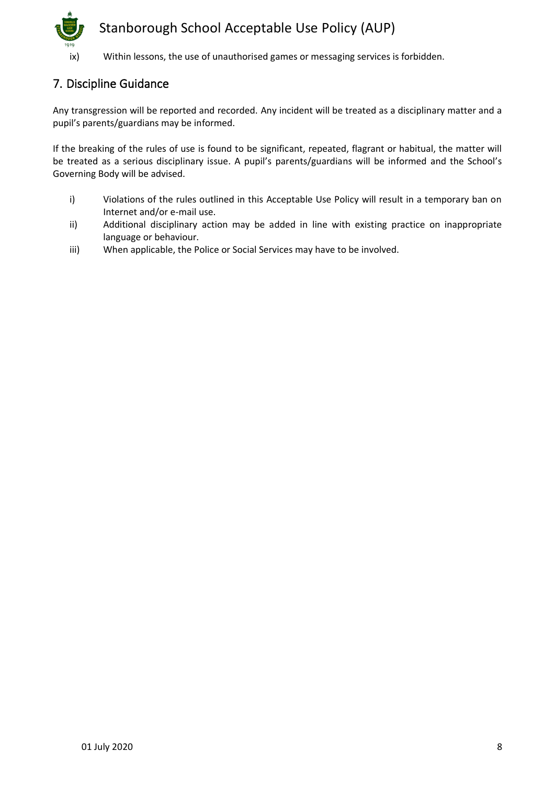

## 7. Discipline Guidance

Any transgression will be reported and recorded. Any incident will be treated as a disciplinary matter and a pupil's parents/guardians may be informed.

If the breaking of the rules of use is found to be significant, repeated, flagrant or habitual, the matter will be treated as a serious disciplinary issue. A pupil's parents/guardians will be informed and the School's Governing Body will be advised.

- i) Violations of the rules outlined in this Acceptable Use Policy will result in a temporary ban on Internet and/or e-mail use.
- ii) Additional disciplinary action may be added in line with existing practice on inappropriate language or behaviour.
- iii) When applicable, the Police or Social Services may have to be involved.